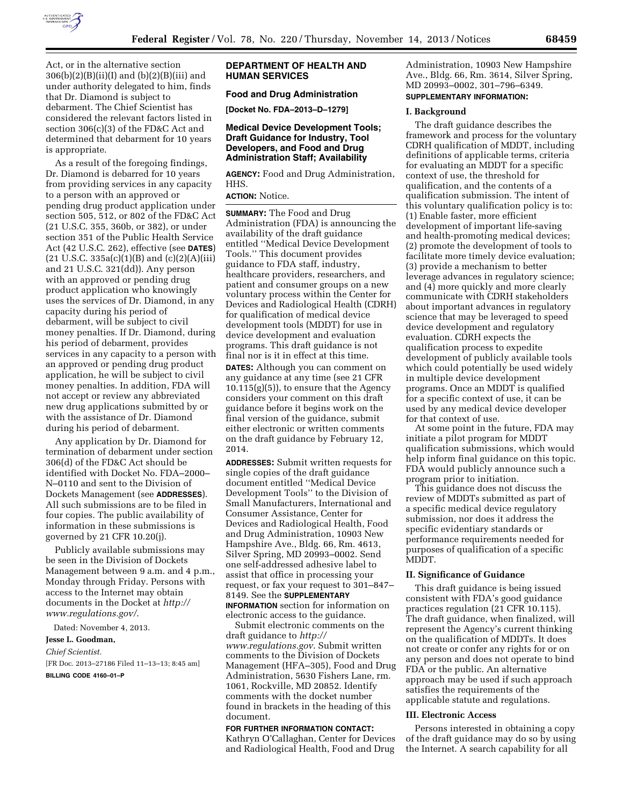

Act, or in the alternative section  $306(b)(2)(B)(ii)(I)$  and  $(b)(2)(B)(iii)$  and under authority delegated to him, finds that Dr. Diamond is subject to debarment. The Chief Scientist has considered the relevant factors listed in section 306(c)(3) of the FD&C Act and determined that debarment for 10 years is appropriate.

As a result of the foregoing findings, Dr. Diamond is debarred for 10 years from providing services in any capacity to a person with an approved or pending drug product application under section 505, 512, or 802 of the FD&C Act (21 U.S.C. 355, 360b, or 382), or under section 351 of the Public Health Service Act (42 U.S.C. 262), effective (see **DATES**)  $(21 \text{ U.S.C. } 335a(c)(1)(B) \text{ and } (c)(2)(A)(iii))$ and 21 U.S.C. 321(dd)). Any person with an approved or pending drug product application who knowingly uses the services of Dr. Diamond, in any capacity during his period of debarment, will be subject to civil money penalties. If Dr. Diamond, during his period of debarment, provides services in any capacity to a person with an approved or pending drug product application, he will be subject to civil money penalties. In addition, FDA will not accept or review any abbreviated new drug applications submitted by or with the assistance of Dr. Diamond during his period of debarment.

Any application by Dr. Diamond for termination of debarment under section 306(d) of the FD&C Act should be identified with Docket No. FDA–2000– N–0110 and sent to the Division of Dockets Management (see **ADDRESSES**). All such submissions are to be filed in four copies. The public availability of information in these submissions is governed by 21 CFR 10.20(j).

Publicly available submissions may be seen in the Division of Dockets Management between 9 a.m. and 4 p.m., Monday through Friday. Persons with access to the Internet may obtain documents in the Docket at *[http://](http://www.regulations.gov/) [www.regulations.gov/](http://www.regulations.gov/)*.

Dated: November 4, 2013.

# **Jesse L. Goodman,**

# *Chief Scientist.*

[FR Doc. 2013–27186 Filed 11–13–13; 8:45 am] **BILLING CODE 4160–01–P** 

# **DEPARTMENT OF HEALTH AND HUMAN SERVICES**

# **Food and Drug Administration**

**[Docket No. FDA–2013–D–1279]** 

# **Medical Device Development Tools; Draft Guidance for Industry, Tool Developers, and Food and Drug Administration Staff; Availability**

**AGENCY:** Food and Drug Administration, HHS.

# **ACTION:** Notice.

**SUMMARY:** The Food and Drug Administration (FDA) is announcing the availability of the draft guidance entitled ''Medical Device Development Tools.'' This document provides guidance to FDA staff, industry, healthcare providers, researchers, and patient and consumer groups on a new voluntary process within the Center for Devices and Radiological Health (CDRH) for qualification of medical device development tools (MDDT) for use in device development and evaluation programs. This draft guidance is not final nor is it in effect at this time. **DATES:** Although you can comment on any guidance at any time (see 21 CFR  $10.115(g)(5)$ , to ensure that the Agency considers your comment on this draft guidance before it begins work on the final version of the guidance, submit either electronic or written comments on the draft guidance by February 12, 2014.

**ADDRESSES:** Submit written requests for single copies of the draft guidance document entitled ''Medical Device Development Tools'' to the Division of Small Manufacturers, International and Consumer Assistance, Center for Devices and Radiological Health, Food and Drug Administration, 10903 New Hampshire Ave., Bldg. 66, Rm. 4613, Silver Spring, MD 20993–0002. Send one self-addressed adhesive label to assist that office in processing your request, or fax your request to 301–847– 8149. See the **SUPPLEMENTARY INFORMATION** section for information on electronic access to the guidance.

Submit electronic comments on the draft guidance to *[http://](http://www.regulations.gov) [www.regulations.gov](http://www.regulations.gov)*. Submit written comments to the Division of Dockets Management (HFA–305), Food and Drug Administration, 5630 Fishers Lane, rm. 1061, Rockville, MD 20852. Identify comments with the docket number found in brackets in the heading of this document.

## **FOR FURTHER INFORMATION CONTACT:**

Kathryn O'Callaghan, Center for Devices and Radiological Health, Food and Drug

Administration, 10903 New Hampshire Ave., Bldg. 66, Rm. 3614, Silver Spring, MD 20993–0002, 301–796–6349. **SUPPLEMENTARY INFORMATION:** 

## **I. Background**

The draft guidance describes the framework and process for the voluntary CDRH qualification of MDDT, including definitions of applicable terms, criteria for evaluating an MDDT for a specific context of use, the threshold for qualification, and the contents of a qualification submission. The intent of this voluntary qualification policy is to: (1) Enable faster, more efficient development of important life-saving and health-promoting medical devices; (2) promote the development of tools to facilitate more timely device evaluation; (3) provide a mechanism to better leverage advances in regulatory science; and (4) more quickly and more clearly communicate with CDRH stakeholders about important advances in regulatory science that may be leveraged to speed device development and regulatory evaluation. CDRH expects the qualification process to expedite development of publicly available tools which could potentially be used widely in multiple device development programs. Once an MDDT is qualified for a specific context of use, it can be used by any medical device developer for that context of use.

At some point in the future, FDA may initiate a pilot program for MDDT qualification submissions, which would help inform final guidance on this topic. FDA would publicly announce such a program prior to initiation.

This guidance does not discuss the review of MDDTs submitted as part of a specific medical device regulatory submission, nor does it address the specific evidentiary standards or performance requirements needed for purposes of qualification of a specific **MDDT** 

## **II. Significance of Guidance**

This draft guidance is being issued consistent with FDA's good guidance practices regulation (21 CFR 10.115). The draft guidance, when finalized, will represent the Agency's current thinking on the qualification of MDDTs. It does not create or confer any rights for or on any person and does not operate to bind FDA or the public. An alternative approach may be used if such approach satisfies the requirements of the applicable statute and regulations.

# **III. Electronic Access**

Persons interested in obtaining a copy of the draft guidance may do so by using the Internet. A search capability for all